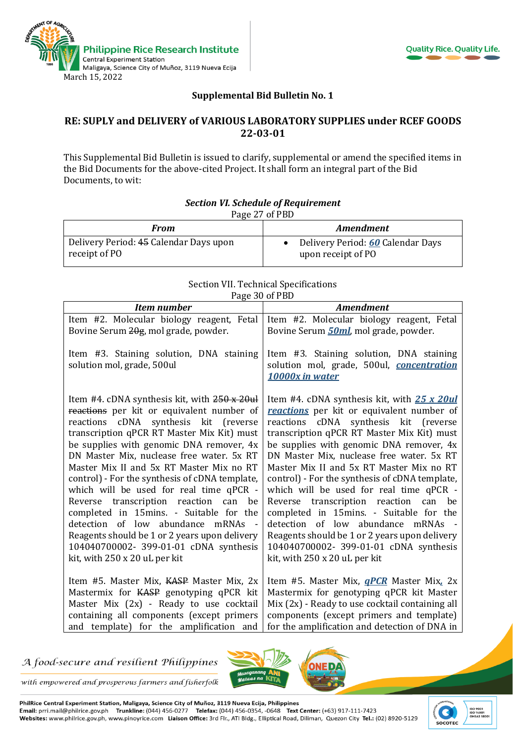



## **Supplemental Bid Bulletin No. 1**

## **RE: SUPLY and DELIVERY of VARIOUS LABORATORY SUPPLIES under RCEF GOODS 22-03-01**

This Supplemental Bid Bulletin is issued to clarify, supplemental or amend the specified items in the Bid Documents for the above-cited Project. It shall form an integral part of the Bid Documents, to wit:

| Page 27 of PBD                                          |                                                         |  |
|---------------------------------------------------------|---------------------------------------------------------|--|
| From                                                    | <i><b>Amendment</b></i>                                 |  |
| Delivery Period: 45 Calendar Days upon<br>receipt of PO | Delivery Period: 60 Calendar Days<br>upon receipt of PO |  |

## *Section VI. Schedule of Requirement*

| Section VII. Technical Specifications |  |
|---------------------------------------|--|
| Page 30 of PBD                        |  |

| 1.48<br><b>Item number</b>                                             | <b>Amendment</b>                                                                                         |
|------------------------------------------------------------------------|----------------------------------------------------------------------------------------------------------|
| Item #2. Molecular biology reagent, Fetal                              | Item #2. Molecular biology reagent, Fetal                                                                |
| Bovine Serum 20g, mol grade, powder.                                   | Bovine Serum <b>50ml</b> , mol grade, powder.                                                            |
| Item #3. Staining solution, DNA staining<br>solution mol, grade, 500ul | Item #3. Staining solution, DNA staining<br>solution mol, grade, 500ul, concentration<br>10000x in water |
| Item #4. cDNA synthesis kit, with $250 \times 20$ ul                   | Item #4. cDNA synthesis kit, with 25 x 20ul                                                              |
| reactions per kit or equivalent number of                              | reactions per kit or equivalent number of                                                                |
| reactions cDNA synthesis kit (reverse                                  | reactions cDNA synthesis kit (reverse                                                                    |
| transcription qPCR RT Master Mix Kit) must                             | transcription qPCR RT Master Mix Kit) must                                                               |
| be supplies with genomic DNA remover, 4x                               | be supplies with genomic DNA remover, 4x                                                                 |
| DN Master Mix, nuclease free water. 5x RT                              | DN Master Mix, nuclease free water. 5x RT                                                                |
| Master Mix II and 5x RT Master Mix no RT                               | Master Mix II and 5x RT Master Mix no RT                                                                 |
| control) - For the synthesis of cDNA template,                         | control) - For the synthesis of cDNA template,                                                           |
| which will be used for real time qPCR -                                | which will be used for real time qPCR -                                                                  |
| Reverse transcription reaction can                                     | Reverse transcription reaction can                                                                       |
| be                                                                     | be                                                                                                       |
| completed in 15mins. - Suitable for the                                | completed in 15mins. - Suitable for the                                                                  |
| detection of low abundance mRNAs -                                     | detection of low abundance mRNAs                                                                         |
| Reagents should be 1 or 2 years upon delivery                          | Reagents should be 1 or 2 years upon delivery                                                            |
| 104040700002- 399-01-01 cDNA synthesis                                 | 104040700002- 399-01-01 cDNA synthesis                                                                   |
| kit, with 250 x 20 uL per kit                                          | kit, with 250 x 20 uL per kit                                                                            |
| Item #5. Master Mix, KASP Master Mix, 2x                               | Item #5. Master Mix, <b><i>qPCR</i></b> Master Mix, 2x                                                   |
| Mastermix for KASP genotyping qPCR kit                                 | Mastermix for genotyping qPCR kit Master                                                                 |
| Master Mix (2x) - Ready to use cocktail                                | Mix (2x) - Ready to use cocktail containing all                                                          |
| containing all components (except primers                              | components (except primers and template)                                                                 |
| and template) for the amplification and                                | for the amplification and detection of DNA in                                                            |

A food-secure and resilient Philippines



with empowered and prosperous farmers and fisherfolk

PhilRice Central Experiment Station, Maligaya, Science City of Muñoz, 3119 Nueva Ecija, Philippines Email: prri.mail@philrice.gov.ph Trunkline: (044) 456-0277 Telefax: (044) 456-0354, -0648 Text Center: (+63) 917-111-7423 Websites: www.philrice.gov.ph, www.pinoyrice.com Liaison Office: 3rd Flr., ATI Bldg., Elliptical Road, Diliman, Quezon City Tel.: (02) 8920-5129